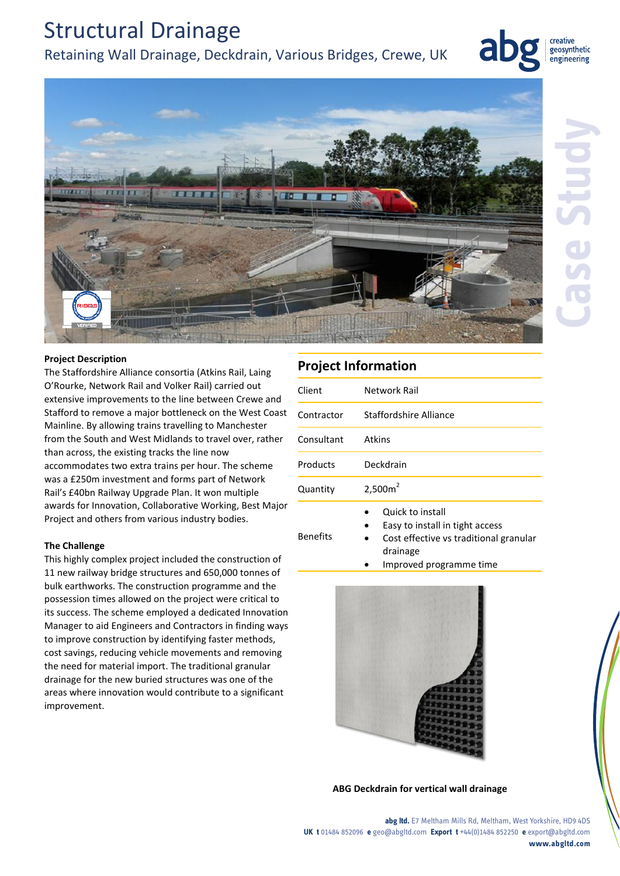# Structural Drainage

Retaining Wall Drainage, Deckdrain, Various Bridges, Crewe, UK



creative geosynthetic engineering



Benefits

### **Project Description**

The Staffordshire Alliance consortia (Atkins Rail, Laing O'Rourke, Network Rail and Volker Rail) carried out extensive improvements to the line between Crewe and Stafford to remove a major bottleneck on the West Coast Mainline. By allowing trains travelling to Manchester from the South and West Midlands to travel over, rather than across, the existing tracks the line now accommodates two extra trains per hour. The scheme was a £250m investment and forms part of Network Rail's £40bn Railway Upgrade Plan. It won multiple awards for Innovation, Collaborative Working, Best Major Project and others from various industry bodies.

#### **The Challenge**

This highly complex project included the construction of 11 new railway bridge structures and 650,000 tonnes of bulk earthworks. The construction programme and the possession times allowed on the project were critical to its success. The scheme employed a dedicated Innovation Manager to aid Engineers and Contractors in finding ways to improve construction by identifying faster methods, cost savings, reducing vehicle movements and removing the need for material import. The traditional granular drainage for the new buried structures was one of the areas where innovation would contribute to a significant improvement.

| <b>Project Information</b> |                                                     |
|----------------------------|-----------------------------------------------------|
| Client                     | Network Rail                                        |
| Contractor                 | Staffordshire Alliance                              |
| Consultant                 | Atkins                                              |
| Products                   | Deckdrain                                           |
| Quantity                   | 2,500m <sup>2</sup>                                 |
|                            | Quick to install<br>Easy to install in tight access |

- Cost effective vs traditional granular drainage
	- Improved programme time



**ABG Deckdrain for vertical wall drainage**

**abg ltd.** E7 Meltham Mills Rd, Meltham, West Yorkshire, HD9 4DS **UK t** 01484 852096 **e** geo@abgltd.com **Export t** +44(0)1484 852250 **e** export@abgltd.com **www.abgltd.com**